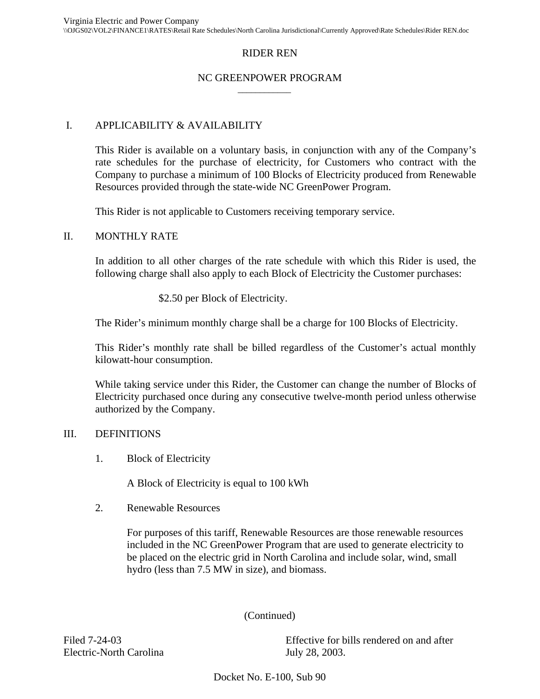# RIDER REN

#### NC GREENPOWER PROGRAM  $\overline{\phantom{a}}$

# I. APPLICABILITY & AVAILABILITY

This Rider is available on a voluntary basis, in conjunction with any of the Company's rate schedules for the purchase of electricity, for Customers who contract with the Company to purchase a minimum of 100 Blocks of Electricity produced from Renewable Resources provided through the state-wide NC GreenPower Program.

This Rider is not applicable to Customers receiving temporary service.

#### II. MONTHLY RATE

In addition to all other charges of the rate schedule with which this Rider is used, the following charge shall also apply to each Block of Electricity the Customer purchases:

\$2.50 per Block of Electricity.

The Rider's minimum monthly charge shall be a charge for 100 Blocks of Electricity.

kilowatt-hour consumption. This Rider's monthly rate shall be billed regardless of the Customer's actual monthly

While taking service under this Rider, the Customer can change the number of Blocks of authorized by the Company. kilowatt-hour consumption.<br>
While taking service under this Rider, the Customer can change the number of Blocks of<br>
Electricity purchased once during any consecutive twelve-month period unless otherwise<br>
authorized by the

1. Block of Electricity

1. Block of Electricity<br>A Block of Electricity is equal to 100 kWh<br>2. Renewable Resources

 $\overline{2}$ .

For purposes of this tariff, Renewable Resources are those renewable resources included in the NC GreenPower Program that are used to generate electricity to be placed on the electric grid in North Carolina and include solar, wind, small hydro (less than 7.5 MW in size), and biomass.

#### (Continued)

Electric-North Carolina July 28, 2003.

Filed 7-24-03 Effective for bills rendered on and after